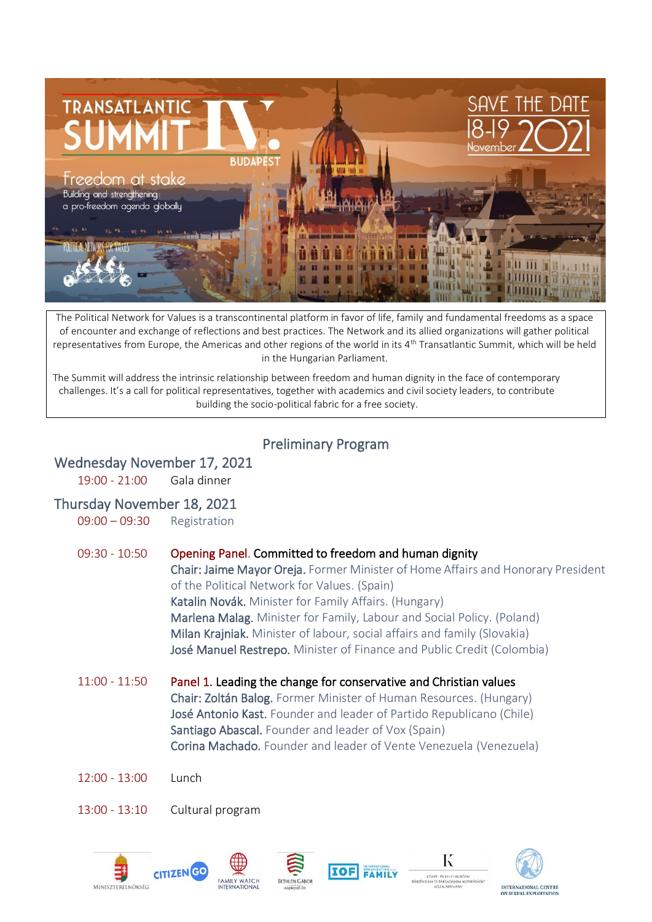

The Political Network for Values is a transcontinental platform in favor of life, family and fundamental freedoms as a space of encounter and exchange of reflections and best practices. The Network and its allied organizations will gather political representatives from Europe, the Americas and other regions of the world in its  $4<sup>th</sup>$  Transatlantic Summit, which will be held in the Hungarian Parliament.

The Summit will address the intrinsic relationship between freedom and human dignity in the face of contemporary challenges. It's a call for political representatives, together with academics and civil society leaders, to contribute building the socio-political fabric for a free society.

# Preliminary Program

# Wednesday November 17, 2021

19:00 - 21:00 Gala dinner

## Thursday November 18, 2021

- 09:00 09:30 Registration
- 09:30 10:50 Opening Panel. Committed to freedom and human dignity Chair: Jaime Mayor Oreja. Former Minister of Home Affairs and Honorary President of the Political Network for Values. (Spain) Katalin Novák. Minister for Family Affairs. (Hungary) Marlena Malag. Minister for Family, Labour and Social Policy. (Poland) Milan Krajniak. Minister of labour, social affairs and family (Slovakia) José Manuel Restrepo. Minister of Finance and Public Credit (Colombia)
- 11:00 11:50 Panel 1. Leading the change for conservative and Christian values Chair: Zoltán Balog. Former Minister of Human Resources. (Hungary) José Antonio Kast. Founder and leader of Partido Republicano (Chile) Santiago Abascal. Founder and leader of Vox (Spain) Corina Machado. Founder and leader of Vente Venezuela (Venezuela)
- $12:00 13:00$  Lunch
- 13:00 13:10 Cultural program









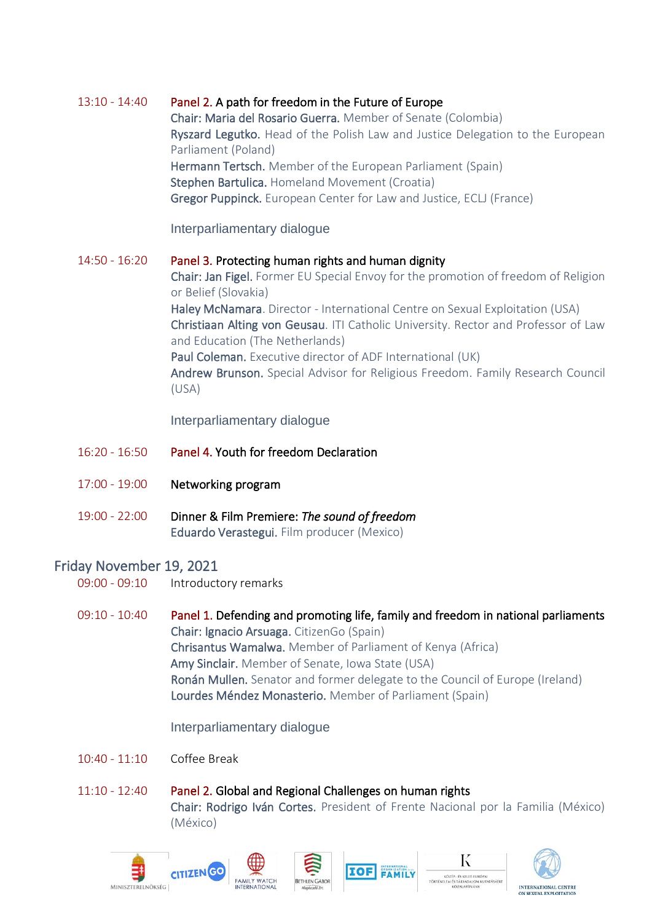| $13:10 - 14:40$ | Panel 2. A path for freedom in the Future of Europe<br>Chair: Maria del Rosario Guerra. Member of Senate (Colombia)<br>Ryszard Legutko. Head of the Polish Law and Justice Delegation to the European<br>Parliament (Poland)<br>Hermann Tertsch. Member of the European Parliament (Spain)<br>Stephen Bartulica. Homeland Movement (Croatia)<br>Gregor Puppinck. European Center for Law and Justice, ECLJ (France)                                                                                                                |
|-----------------|------------------------------------------------------------------------------------------------------------------------------------------------------------------------------------------------------------------------------------------------------------------------------------------------------------------------------------------------------------------------------------------------------------------------------------------------------------------------------------------------------------------------------------|
|                 | Interparliamentary dialogue                                                                                                                                                                                                                                                                                                                                                                                                                                                                                                        |
| $14:50 - 16:20$ | Panel 3. Protecting human rights and human dignity<br>Chair: Jan Figel. Former EU Special Envoy for the promotion of freedom of Religion<br>or Belief (Slovakia)<br>Haley McNamara. Director - International Centre on Sexual Exploitation (USA)<br>Christiaan Alting von Geusau. ITI Catholic University. Rector and Professor of Law<br>and Education (The Netherlands)<br>Paul Coleman. Executive director of ADF International (UK)<br>Andrew Brunson. Special Advisor for Religious Freedom. Family Research Council<br>(USA) |

Interparliamentary dialogue

- 16:20 16:50 Panel 4. Youth for freedom Declaration
- 17:00 19:00 Networking program
- 19:00 22:00 Dinner & Film Premiere: *The sound of freedom* Eduardo Verastegui. Film producer (Mexico)

## Friday November 19, 2021

- 09:00 09:10 Introductory remarks
- 09:10 10:40 Panel 1. Defending and promoting life, family and freedom in national parliaments Chair: Ignacio Arsuaga. CitizenGo (Spain) Chrisantus Wamalwa. Member of Parliament of Kenya (Africa) Amy Sinclair. Member of Senate, Iowa State (USA) Ronán Mullen. Senator and former delegate to the Council of Europe (Ireland) Lourdes Méndez Monasterio. Member of Parliament (Spain)

### Interparliamentary dialogue

- 10:40 11:10 Coffee Break
- 11:10 12:40 Panel 2. Global and Regional Challenges on human rights Chair: Rodrigo Iván Cortes. President of Frente Nacional por la Familia (México) (México)